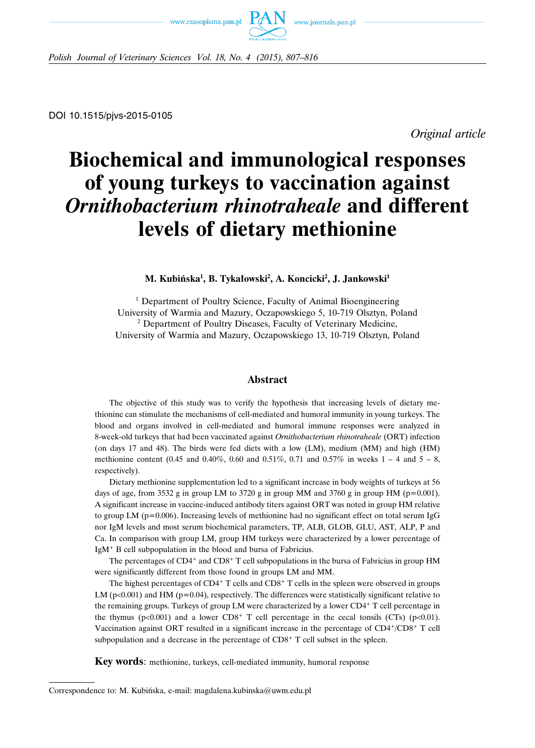



*Polish Journal of Veterinary Sciences Vol. 18, No. 4 (2015), 807–816*

*Original article*

# **Biochemical and immunological responses of young turkeys to vaccination against** *Ornithobacterium rhinotraheale* **and different levels of dietary methionine**

# M. Kubińska<sup>1</sup>, B. Tykałowski<sup>2</sup>, A. Koncicki<sup>2</sup>, J. Jankowski<sup>1</sup>

<sup>1</sup> Department of Poultry Science, Faculty of Animal Bioengineering University of Warmia and Mazury, Oczapowskiego 5, 10-719 Olsztyn, Poland <sup>2</sup> Department of Poultry Diseases, Faculty of Veterinary Medicine, University of Warmia and Mazury, Oczapowskiego 13, 10-719 Olsztyn, Poland

## **Abstract**

The objective of this study was to verify the hypothesis that increasing levels of dietary methionine can stimulate the mechanisms of cell-mediated and humoral immunity in young turkeys. The blood and organs involved in cell-mediated and humoral immune responses were analyzed in 8-week-old turkeys that had been vaccinated against *Ornithobacterium rhinotraheale* (ORT) infection (on days 17 and 48). The birds were fed diets with a low (LM), medium (MM) and high (HM) methionine content (0.45 and 0.40%, 0.60 and 0.51%, 0.71 and 0.57% in weeks  $1 - 4$  and  $5 - 8$ , respectively).

Dietary methionine supplementation led to a significant increase in body weights of turkeys at 56 days of age, from 3532 g in group LM to 3720 g in group MM and 3760 g in group HM ( $p=0.001$ ). A significant increase in vaccine-induced antibody titers against ORT was noted in group HM relative to group LM ( $p=0.006$ ). Increasing levels of methionine had no significant effect on total serum IgG nor IgM levels and most serum biochemical parameters, TP, ALB, GLOB, GLU, AST, ALP, P and Ca. In comparison with group LM, group HM turkeys were characterized by a lower percentage of IgM<sup>+</sup> B cell subpopulation in the blood and bursa of Fabricius.

The percentages of CD4<sup>+</sup> and CD8<sup>+</sup> T cell subpopulations in the bursa of Fabricius in group HM were significantly different from those found in groups LM and MM.

The highest percentages of  $CD4+T$  cells and  $CD8+T$  cells in the spleen were observed in groups LM ( $p<0.001$ ) and HM ( $p=0.04$ ), respectively. The differences were statistically significant relative to the remaining groups. Turkeys of group LM were characterized by a lower CD4+ T cell percentage in the thymus (p<0.001) and a lower  $CD8^+$  T cell percentage in the cecal tonsils (CTs) (p<0.01). Vaccination against ORT resulted in a significant increase in the percentage of CD4+/CD8+ T cell subpopulation and a decrease in the percentage of  $CD8<sup>+</sup>$  T cell subset in the spleen.

**Key words**: methionine, turkeys, cell-mediated immunity, humoral response

Correspondence to: M. Kubińska, e-mail: magdalena.kubinska@uwm.edu.pl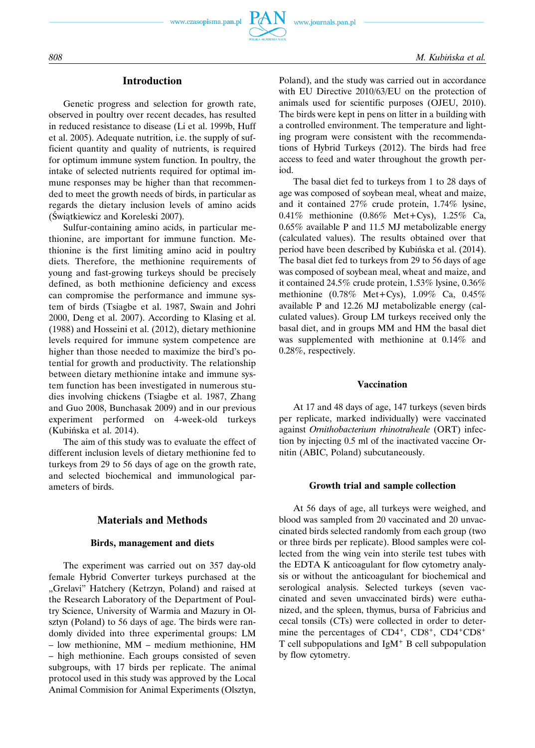



# **Introduction**

Genetic progress and selection for growth rate, observed in poultry over recent decades, has resulted in reduced resistance to disease (Li et al. 1999b, Huff et al. 2005). Adequate nutrition, i.e. the supply of sufficient quantity and quality of nutrients, is required for optimum immune system function. In poultry, the intake of selected nutrients required for optimal immune responses may be higher than that recommended to meet the growth needs of birds, in particular as regards the dietary inclusion levels of amino acids (Świątkiewicz and Koreleski 2007).

Sulfur-containing amino acids, in particular methionine, are important for immune function. Methionine is the first limiting amino acid in poultry diets. Therefore, the methionine requirements of young and fast-growing turkeys should be precisely defined, as both methionine deficiency and excess can compromise the performance and immune system of birds (Tsiagbe et al. 1987, Swain and Johri 2000, Deng et al. 2007). According to Klasing et al. (1988) and Hosseini et al. (2012), dietary methionine levels required for immune system competence are higher than those needed to maximize the bird's potential for growth and productivity. The relationship between dietary methionine intake and immune system function has been investigated in numerous studies involving chickens (Tsiagbe et al. 1987, Zhang and Guo 2008, Bunchasak 2009) and in our previous experiment performed on 4-week-old turkeys (Kubińska et al. 2014).

The aim of this study was to evaluate the effect of different inclusion levels of dietary methionine fed to turkeys from 29 to 56 days of age on the growth rate, and selected biochemical and immunological parameters of birds.

## **Materials and Methods**

#### **Birds, management and diets**

The experiment was carried out on 357 day-old female Hybrid Converter turkeys purchased at the "Grelavi" Hatchery (Ketrzyn, Poland) and raised at the Research Laboratory of the Department of Poultry Science, University of Warmia and Mazury in Olsztyn (Poland) to 56 days of age. The birds were randomly divided into three experimental groups: LM – low methionine, MM – medium methionine, HM – high methionine. Each groups consisted of seven subgroups, with 17 birds per replicate. The animal protocol used in this study was approved by the Local Animal Commision for Animal Experiments (Olsztyn, Poland), and the study was carried out in accordance with EU Directive 2010/63/EU on the protection of animals used for scientific purposes (OJEU, 2010). The birds were kept in pens on litter in a building with a controlled environment. The temperature and lighting program were consistent with the recommendations of Hybrid Turkeys (2012). The birds had free access to feed and water throughout the growth period.

The basal diet fed to turkeys from 1 to 28 days of age was composed of soybean meal, wheat and maize, and it contained 27% crude protein, 1.74% lysine, 0.41% methionine (0.86% Met+Cys), 1.25% Ca, 0.65% available P and 11.5 MJ metabolizable energy (calculated values). The results obtained over that period have been described by Kubińska et al. (2014). The basal diet fed to turkeys from 29 to 56 days of age was composed of soybean meal, wheat and maize, and it contained 24.5% crude protein, 1.53% lysine, 0.36% methionine (0.78% Met+Cys), 1.09% Ca, 0.45% available P and 12.26 MJ metabolizable energy (calculated values). Group LM turkeys received only the basal diet, and in groups MM and HM the basal diet was supplemented with methionine at 0.14% and 0.28%, respectively.

#### **Vaccination**

At 17 and 48 days of age, 147 turkeys (seven birds per replicate, marked individually) were vaccinated against *Ornithobacterium rhinotraheale* (ORT) infection by injecting 0.5 ml of the inactivated vaccine Ornitin (ABIC, Poland) subcutaneously.

#### **Growth trial and sample collection**

At 56 days of age, all turkeys were weighed, and blood was sampled from 20 vaccinated and 20 unvaccinated birds selected randomly from each group (two or three birds per replicate). Blood samples were collected from the wing vein into sterile test tubes with the EDTA K anticoagulant for flow cytometry analysis or without the anticoagulant for biochemical and serological analysis. Selected turkeys (seven vaccinated and seven unvaccinated birds) were euthanized, and the spleen, thymus, bursa of Fabricius and cecal tonsils (CTs) were collected in order to determine the percentages of CD4<sup>+</sup>, CD8<sup>+</sup>, CD4<sup>+</sup>CD8<sup>+</sup> T cell subpopulations and IgM<sup>+</sup> B cell subpopulation by flow cytometry.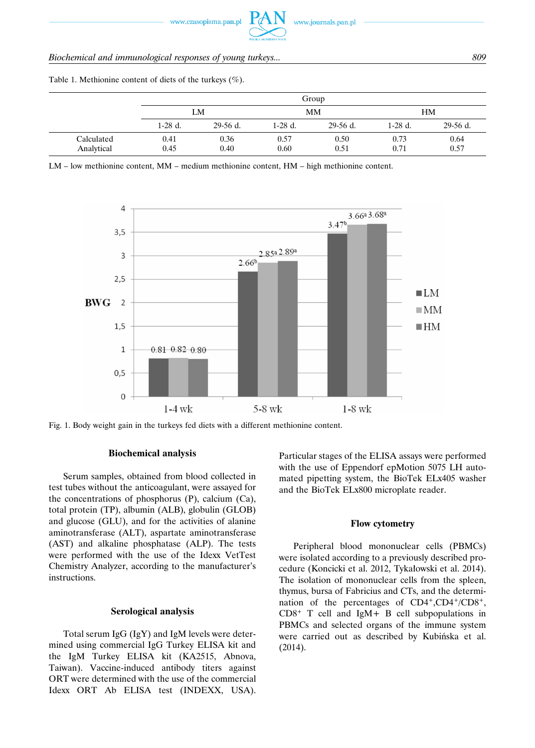# *Biochemical and immunological responses of young turkeys... 809*

Table 1. Methionine content of diets of the turkeys  $(\% )$ .

|                          |              |              |              | Group        |              |              |
|--------------------------|--------------|--------------|--------------|--------------|--------------|--------------|
|                          |              | LM           |              | MM           |              | HM           |
|                          | $1-28$ d.    | $29-56$ d.   | 1-28 d.      | $29-56$ d.   | 1-28 d.      | $29-56$ d.   |
| Calculated<br>Analytical | 0.41<br>0.45 | 0.36<br>0.40 | 0.57<br>0.60 | 0.50<br>0.51 | 0.73<br>0.71 | 0.64<br>0.57 |

LM – low methionine content, MM – medium methionine content, HM – high methionine content.



Fig. 1. Body weight gain in the turkeys fed diets with a different methionine content.

#### **Biochemical analysis**

Serum samples, obtained from blood collected in test tubes without the anticoagulant, were assayed for the concentrations of phosphorus (P), calcium (Ca), total protein (TP), albumin (ALB), globulin (GLOB) and glucose (GLU), and for the activities of alanine aminotransferase (ALT), aspartate aminotransferase (AST) and alkaline phosphatase (ALP). The tests were performed with the use of the Idexx VetTest Chemistry Analyzer, according to the manufacturer's instructions.

#### **Serological analysis**

Total serum IgG (IgY) and IgM levels were determined using commercial IgG Turkey ELISA kit and the IgM Turkey ELISA kit (KA2515, Abnova, Taiwan). Vaccine-induced antibody titers against ORT were determined with the use of the commercial Idexx ORT Ab ELISA test (INDEXX, USA). Particular stages of the ELISA assays were performed with the use of Eppendorf epMotion 5075 LH automated pipetting system, the BioTek ELx405 washer and the BioTek ELx800 microplate reader.

## **Flow cytometry**

Peripheral blood mononuclear cells (PBMCs) were isolated according to a previously described procedure (Koncicki et al. 2012, Tykałowski et al. 2014). The isolation of mononuclear cells from the spleen, thymus, bursa of Fabricius and CTs, and the determination of the percentages of CD4+,CD4+/CD8+, CD8+ T cell and IgM+ B cell subpopulations in PBMCs and selected organs of the immune system were carried out as described by Kubińska et al. (2014).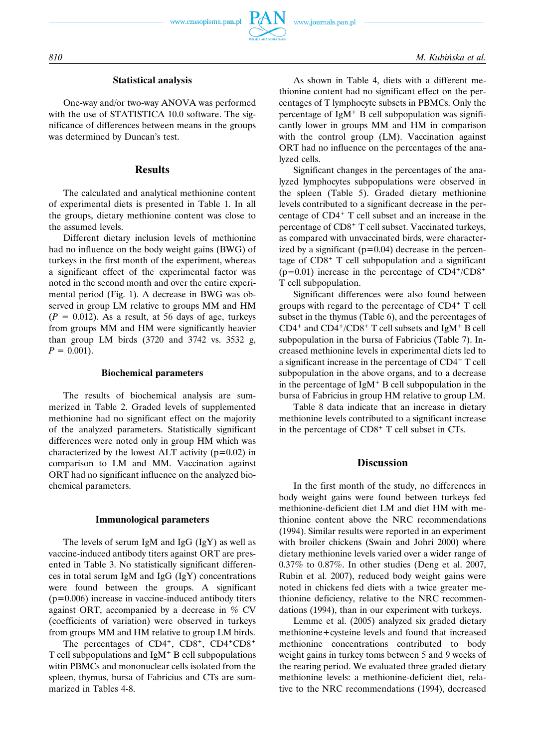

# **Statistical analysis**

One-way and/or two-way ANOVA was performed with the use of STATISTICA 10.0 software. The significance of differences between means in the groups was determined by Duncan's test.

# **Results**

The calculated and analytical methionine content of experimental diets is presented in Table 1. In all the groups, dietary methionine content was close to the assumed levels.

Different dietary inclusion levels of methionine had no influence on the body weight gains (BWG) of turkeys in the first month of the experiment, whereas a significant effect of the experimental factor was noted in the second month and over the entire experimental period (Fig. 1). A decrease in BWG was observed in group LM relative to groups MM and HM  $(P = 0.012)$ . As a result, at 56 days of age, turkeys from groups MM and HM were significantly heavier than group LM birds (3720 and 3742 vs. 3532 g,  $P = 0.001$ .

#### **Biochemical parameters**

The results of biochemical analysis are summerized in Table 2. Graded levels of supplemented methionine had no significant effect on the majority of the analyzed parameters. Statistically significant differences were noted only in group HM which was characterized by the lowest ALT activity  $(p=0.02)$  in comparison to LM and MM. Vaccination against ORT had no significant influence on the analyzed biochemical parameters.

#### **Immunological parameters**

The levels of serum IgM and IgG (IgY) as well as vaccine-induced antibody titers against ORT are presented in Table 3. No statistically significant differences in total serum IgM and IgG (IgY) concentrations were found between the groups. A significant (p=0.006) increase in vaccine-induced antibody titers against ORT, accompanied by a decrease in % CV (coefficients of variation) were observed in turkeys from groups MM and HM relative to group LM birds.

The percentages of CD4<sup>+</sup>, CD8<sup>+</sup>, CD4<sup>+</sup>CD8<sup>+</sup> T cell subpopulations and IgM<sup>+</sup> B cell subpopulations witin PBMCs and mononuclear cells isolated from the spleen, thymus, bursa of Fabricius and CTs are summarized in Tables 4-8.

As shown in Table 4, diets with a different methionine content had no significant effect on the percentages of T lymphocyte subsets in PBMCs. Only the percentage of  $IgM<sup>+</sup>$  B cell subpopulation was significantly lower in groups MM and HM in comparison with the control group (LM). Vaccination against ORT had no influence on the percentages of the analyzed cells.

Significant changes in the percentages of the analyzed lymphocytes subpopulations were observed in the spleen (Table 5). Graded dietary methionine levels contributed to a significant decrease in the percentage of CD4<sup>+</sup> T cell subset and an increase in the percentage of CD8<sup>+</sup> T cell subset. Vaccinated turkeys, as compared with unvaccinated birds, were characterized by a significant  $(p=0.04)$  decrease in the percentage of CD8+ T cell subpopulation and a significant  $(p=0.01)$  increase in the percentage of  $CD4^+/CD8^+$ T cell subpopulation.

Significant differences were also found between groups with regard to the percentage of CD4+ T cell subset in the thymus (Table 6), and the percentages of CD4+ and CD4+/CD8+ T cell subsets and IgM<sup>+</sup> B cell subpopulation in the bursa of Fabricius (Table 7). Increased methionine levels in experimental diets led to a significant increase in the percentage of CD4<sup>+</sup> T cell subpopulation in the above organs, and to a decrease in the percentage of  $IgM<sup>+</sup>$  B cell subpopulation in the bursa of Fabricius in group HM relative to group LM.

Table 8 data indicate that an increase in dietary methionine levels contributed to a significant increase in the percentage of CD8+ T cell subset in CTs.

## **Discussion**

In the first month of the study, no differences in body weight gains were found between turkeys fed methionine-deficient diet LM and diet HM with methionine content above the NRC recommendations (1994). Similar results were reported in an experiment with broiler chickens (Swain and Johri 2000) where dietary methionine levels varied over a wider range of 0.37% to 0.87%. In other studies (Deng et al. 2007, Rubin et al. 2007), reduced body weight gains were noted in chickens fed diets with a twice greater methionine deficiency, relative to the NRC recommendations (1994), than in our experiment with turkeys.

Lemme et al. (2005) analyzed six graded dietary methionine+cysteine levels and found that increased methionine concentrations contributed to body weight gains in turkey toms between 5 and 9 weeks of the rearing period. We evaluated three graded dietary methionine levels: a methionine-deficient diet, relative to the NRC recommendations (1994), decreased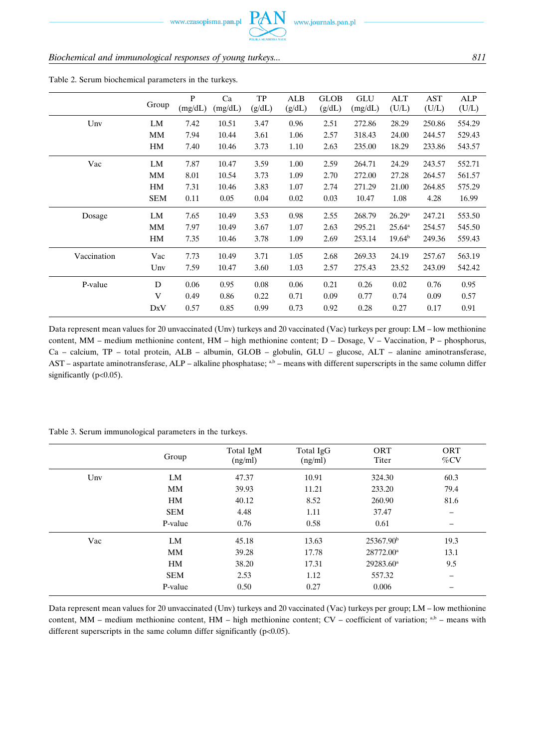www.czasopisma.pan.pl

# *Biochemical and immunological responses of young turkeys... 811*

|             |            | P       | Ca      | <b>TP</b> | ALB    | <b>GLOB</b> | <b>GLU</b> | ALT                | AST    | ALP    |
|-------------|------------|---------|---------|-----------|--------|-------------|------------|--------------------|--------|--------|
|             | Group      | (mg/dL) | (mg/dL) | (g/dL)    | (g/dL) | (g/dL)      | (mg/dL)    | (U/L)              | (U/L)  | (U/L)  |
| Unv         | LM         | 7.42    | 10.51   | 3.47      | 0.96   | 2.51        | 272.86     | 28.29              | 250.86 | 554.29 |
|             | MM         | 7.94    | 10.44   | 3.61      | 1.06   | 2.57        | 318.43     | 24.00              | 244.57 | 529.43 |
|             | HM         | 7.40    | 10.46   | 3.73      | 1.10   | 2.63        | 235.00     | 18.29              | 233.86 | 543.57 |
| Vac         | LM         | 7.87    | 10.47   | 3.59      | 1.00   | 2.59        | 264.71     | 24.29              | 243.57 | 552.71 |
|             | MM         | 8.01    | 10.54   | 3.73      | 1.09   | 2.70        | 272.00     | 27.28              | 264.57 | 561.57 |
|             | HM         | 7.31    | 10.46   | 3.83      | 1.07   | 2.74        | 271.29     | 21.00              | 264.85 | 575.29 |
|             | <b>SEM</b> | 0.11    | 0.05    | 0.04      | 0.02   | 0.03        | 10.47      | 1.08               | 4.28   | 16.99  |
| Dosage      | LM         | 7.65    | 10.49   | 3.53      | 0.98   | 2.55        | 268.79     | 26.29 <sup>a</sup> | 247.21 | 553.50 |
|             | MМ         | 7.97    | 10.49   | 3.67      | 1.07   | 2.63        | 295.21     | $25.64^{\rm a}$    | 254.57 | 545.50 |
|             | HM         | 7.35    | 10.46   | 3.78      | 1.09   | 2.69        | 253.14     | 19.64 <sup>b</sup> | 249.36 | 559.43 |
| Vaccination | Vac        | 7.73    | 10.49   | 3.71      | 1.05   | 2.68        | 269.33     | 24.19              | 257.67 | 563.19 |
|             | Unv        | 7.59    | 10.47   | 3.60      | 1.03   | 2.57        | 275.43     | 23.52              | 243.09 | 542.42 |
| P-value     | D          | 0.06    | 0.95    | 0.08      | 0.06   | 0.21        | 0.26       | 0.02               | 0.76   | 0.95   |
|             | V          | 0.49    | 0.86    | 0.22      | 0.71   | 0.09        | 0.77       | 0.74               | 0.09   | 0.57   |
|             | DxV        | 0.57    | 0.85    | 0.99      | 0.73   | 0.92        | 0.28       | 0.27               | 0.17   | 0.91   |

Table 2. Serum biochemical parameters in the turkeys.

Data represent mean values for 20 unvaccinated (Unv) turkeys and 20 vaccinated (Vac) turkeys per group: LM – low methionine content, MM – medium methionine content, HM – high methionine content; D – Dosage, V – Vaccination, P – phosphorus, Ca – calcium, TP – total protein, ALB – albumin, GLOB – globulin, GLU – glucose, ALT – alanine aminotransferase, AST – aspartate aminotransferase, ALP – alkaline phosphatase; <sup>a,b</sup> – means with different superscripts in the same column differ significantly (p<0.05).

|                 | Group      | Total IgM<br>(ng/ml) | Total IgG<br>(ng/ml) | <b>ORT</b><br>Titer   | ORT<br>$\%$ CV |
|-----------------|------------|----------------------|----------------------|-----------------------|----------------|
| $_{\text{Unv}}$ | LM         | 47.37                | 10.91                | 324.30                | 60.3           |
|                 | <b>MM</b>  | 39.93                | 11.21                | 233.20                | 79.4           |
|                 | HM         | 40.12                | 8.52                 | 260.90                | 81.6           |
|                 | <b>SEM</b> | 4.48                 | 1.11                 | 37.47                 |                |
|                 | P-value    | 0.76                 | 0.58                 | 0.61                  |                |
| Vac             | LM         | 45.18                | 13.63                | 25367.90 <sup>b</sup> | 19.3           |
|                 | MM         | 39.28                | 17.78                | 28772.00 <sup>a</sup> | 13.1           |
|                 | HM         | 38.20                | 17.31                | 29283.60 <sup>a</sup> | 9.5            |
|                 | <b>SEM</b> | 2.53                 | 1.12                 | 557.32                |                |
|                 | P-value    | 0.50                 | 0.27                 | 0.006                 |                |

Table 3. Serum immunological parameters in the turkeys.

Data represent mean values for 20 unvaccinated (Unv) turkeys and 20 vaccinated (Vac) turkeys per group; LM – low methionine content, MM – medium methionine content, HM – high methionine content; CV – coefficient of variation; a,b – means with different superscripts in the same column differ significantly ( $p<0.05$ ).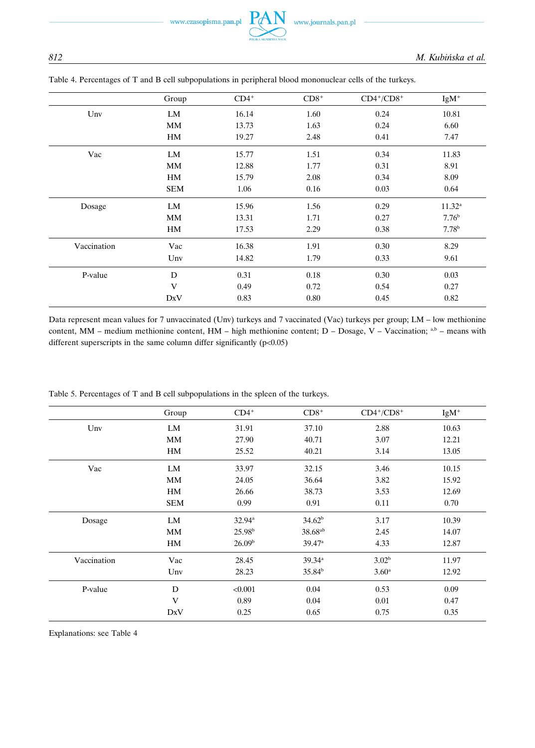www.czasopisma.pan.pl

|             | Group      | $CD4^+$ | $CD8+$ | $CD4^+/CD8^+$ | $IgM^+$           |
|-------------|------------|---------|--------|---------------|-------------------|
| Unv         | LM         | 16.14   | 1.60   | 0.24          | 10.81             |
|             | <b>MM</b>  | 13.73   | 1.63   | 0.24          | 6.60              |
|             | HM         | 19.27   | 2.48   | 0.41          | 7.47              |
| Vac         | LM         | 15.77   | 1.51   | 0.34          | 11.83             |
|             | <b>MM</b>  | 12.88   | 1.77   | 0.31          | 8.91              |
|             | HM         | 15.79   | 2.08   | 0.34          | 8.09              |
|             | <b>SEM</b> | 1.06    | 0.16   | 0.03          | 0.64              |
| Dosage      | LM         | 15.96   | 1.56   | 0.29          | $11.32^{\rm a}$   |
|             | <b>MM</b>  | 13.31   | 1.71   | 0.27          | 7.76 <sup>b</sup> |
|             | HM         | 17.53   | 2.29   | 0.38          | 7.78 <sup>b</sup> |
| Vaccination | Vac        | 16.38   | 1.91   | 0.30          | 8.29              |
|             | Unv        | 14.82   | 1.79   | 0.33          | 9.61              |
| P-value     | D          | 0.31    | 0.18   | 0.30          | 0.03              |
|             | V          | 0.49    | 0.72   | 0.54          | 0.27              |
|             | DxV        | 0.83    | 0.80   | 0.45          | 0.82              |

# Table 4. Percentages of T and B cell subpopulations in peripheral blood mononuclear cells of the turkeys.

 $\mathsf{P}\!A$ 

Data represent mean values for 7 unvaccinated (Unv) turkeys and 7 vaccinated (Vac) turkeys per group; LM – low methionine content, MM – medium methionine content, HM – high methionine content; D – Dosage, V – Vaccination; a,b – means with different superscripts in the same column differ significantly  $(p<0.05)$ 

Table 5. Percentages of T and B cell subpopulations in the spleen of the turkeys.

|             | Group      | $CD4^+$            | $CD8+$               | $CD4^+/CD8^+$     | $IgM^+$ |
|-------------|------------|--------------------|----------------------|-------------------|---------|
| Unv         | LM         | 31.91              | 37.10                | 2.88              | 10.63   |
|             | <b>MM</b>  | 27.90              | 40.71                | 3.07              | 12.21   |
|             | HM         | 25.52              | 40.21                | 3.14              | 13.05   |
| Vac         | LM         | 33.97              | 32.15                | 3.46              | 10.15   |
|             | MM         | 24.05              | 36.64                | 3.82              | 15.92   |
|             | HM         | 26.66              | 38.73                | 3.53              | 12.69   |
|             | <b>SEM</b> | 0.99               | 0.91                 | 0.11              | 0.70    |
| Dosage      | LM         | $32.94^{\rm a}$    | 34.62 <sup>b</sup>   | 3.17              | 10.39   |
|             | <b>MM</b>  | 25.98 <sup>b</sup> | 38.68 <sup>ab</sup>  | 2.45              | 14.07   |
|             | HM         | 26.09 <sup>b</sup> | $39.47$ <sup>a</sup> | 4.33              | 12.87   |
| Vaccination | Vac        | 28.45              | 39.34 <sup>a</sup>   | 3.02 <sup>b</sup> | 11.97   |
|             | Unv        | 28.23              | 35.84 <sup>b</sup>   | $3.60^{\rm a}$    | 12.92   |
| P-value     | D          | < 0.001            | 0.04                 | 0.53              | 0.09    |
|             | V          | 0.89               | 0.04                 | 0.01              | 0.47    |
|             | DxV        | 0.25               | 0.65                 | 0.75              | 0.35    |

Explanations: see Table 4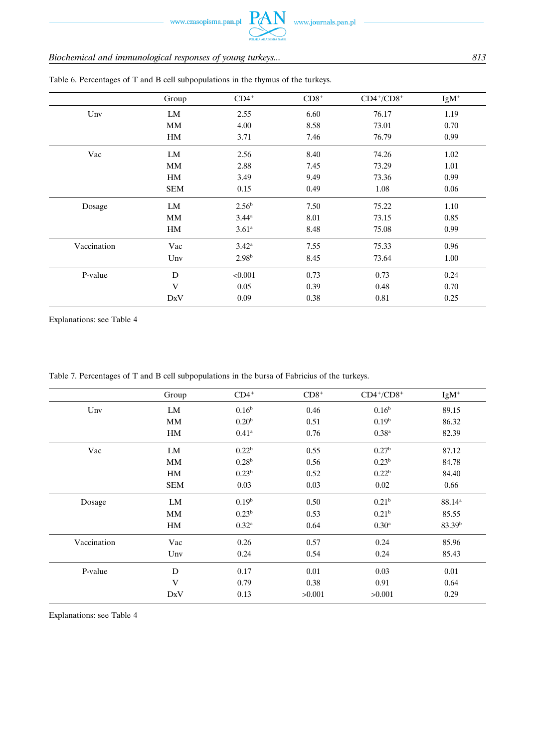# *Biochemical and immunological responses of young turkeys... 813*

|             | Group      | $CD4^+$           | $CD8+$ | $CD4^+/CD8^+$ | $IgM^+$ |
|-------------|------------|-------------------|--------|---------------|---------|
| Unv         | LM         | 2.55              | 6.60   | 76.17         | 1.19    |
|             | <b>MM</b>  | 4.00              | 8.58   | 73.01         | 0.70    |
|             | HM         | 3.71              | 7.46   | 76.79         | 0.99    |
| Vac         | LM         | 2.56              | 8.40   | 74.26         | 1.02    |
|             | MM         | 2.88              | 7.45   | 73.29         | 1.01    |
|             | HM         | 3.49              | 9.49   | 73.36         | 0.99    |
|             | <b>SEM</b> | 0.15              | 0.49   | 1.08          | 0.06    |
| Dosage      | LM         | 2.56 <sup>b</sup> | 7.50   | 75.22         | 1.10    |
|             | MM         | 3.44 <sup>a</sup> | 8.01   | 73.15         | 0.85    |
|             | HM         | 3.61 <sup>a</sup> | 8.48   | 75.08         | 0.99    |
| Vaccination | Vac        | $3.42^{\rm a}$    | 7.55   | 75.33         | 0.96    |
|             | Unv        | 2.98 <sup>b</sup> | 8.45   | 73.64         | 1.00    |
| P-value     | D          | < 0.001           | 0.73   | 0.73          | 0.24    |
|             | V          | 0.05              | 0.39   | 0.48          | 0.70    |
|             | DxV        | 0.09              | 0.38   | 0.81          | 0.25    |

Table 6. Percentages of T and B cell subpopulations in the thymus of the turkeys.

Explanations: see Table 4

Table 7. Percentages of T and B cell subpopulations in the bursa of Fabricius of the turkeys.

|             | Group      | $CD4^+$           | $CD8+$ | $CD4^+/CD8^+$     | $IgM^+$            |
|-------------|------------|-------------------|--------|-------------------|--------------------|
| Unv         | LM         | 0.16 <sup>b</sup> | 0.46   | 0.16 <sup>b</sup> | 89.15              |
|             | <b>MM</b>  | 0.20 <sup>b</sup> | 0.51   | 0.19 <sup>b</sup> | 86.32              |
|             | HM         | $0.41^{\rm a}$    | 0.76   | 0.38 <sup>a</sup> | 82.39              |
| Vac         | LM         | 0.22 <sup>b</sup> | 0.55   | 0.27 <sup>b</sup> | 87.12              |
|             | MM         | 0.28 <sup>b</sup> | 0.56   | 0.23 <sup>b</sup> | 84.78              |
|             | HM         | 0.23 <sup>b</sup> | 0.52   | 0.22 <sup>b</sup> | 84.40              |
|             | <b>SEM</b> | 0.03              | 0.03   | 0.02              | 0.66               |
| Dosage      | LM         | 0.19 <sup>b</sup> | 0.50   | 0.21 <sup>b</sup> | $88.14^{a}$        |
|             | <b>MM</b>  | 0.23 <sup>b</sup> | 0.53   | 0.21 <sup>b</sup> | 85.55              |
|             | HM         | $0.32^{\rm a}$    | 0.64   | $0.30^{\rm a}$    | 83.39 <sup>b</sup> |
| Vaccination | Vac        | 0.26              | 0.57   | 0.24              | 85.96              |
|             | Unv        | 0.24              | 0.54   | 0.24              | 85.43              |
| P-value     | D          | 0.17              | 0.01   | 0.03              | 0.01               |
|             | V          | 0.79              | 0.38   | 0.91              | 0.64               |
|             | DxV        | 0.13              | >0.001 | >0.001            | 0.29               |

Explanations: see Table 4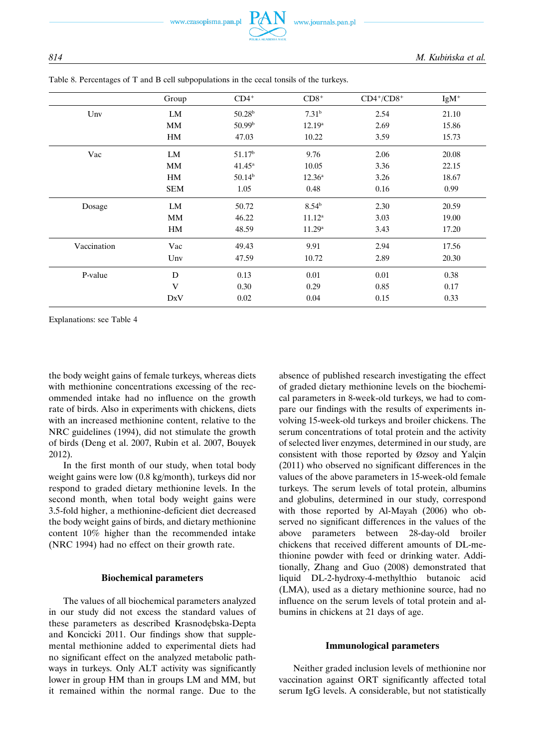|             | Group      | $CD4^+$            | $CD8+$             | $CD4^+/CD8^+$ | $IgM^+$ |
|-------------|------------|--------------------|--------------------|---------------|---------|
| Unv         | LM         | 50.28 <sup>b</sup> | 7.31 <sup>b</sup>  | 2.54          | 21.10   |
|             | MM         | 50.99 <sup>b</sup> | $12.19^a$          | 2.69          | 15.86   |
|             | HM         | 47.03              | 10.22              | 3.59          | 15.73   |
| Vac         | LM         | 51.17 <sup>b</sup> | 9.76               | 2.06          | 20.08   |
|             | MM         | $41.45^{\circ}$    | 10.05              | 3.36          | 22.15   |
|             | HM         | $50.14^{b}$        | $12.36^{\rm a}$    | 3.26          | 18.67   |
|             | <b>SEM</b> | 1.05               | 0.48               | 0.16          | 0.99    |
| Dosage      | LM         | 50.72              | $8.54^{b}$         | 2.30          | 20.59   |
|             | MM         | 46.22              | $11.12^a$          | 3.03          | 19.00   |
|             | HM         | 48.59              | 11.29 <sup>a</sup> | 3.43          | 17.20   |
| Vaccination | Vac        | 49.43              | 9.91               | 2.94          | 17.56   |
|             | Unv        | 47.59              | 10.72              | 2.89          | 20.30   |
| P-value     | D          | 0.13               | 0.01               | 0.01          | 0.38    |
|             | V          | 0.30               | 0.29               | 0.85          | 0.17    |
|             | DxV        | 0.02               | 0.04               | 0.15          | 0.33    |

Table 8. Percentages of T and B cell subpopulations in the cecal tonsils of the turkeys.

Explanations: see Table 4

the body weight gains of female turkeys, whereas diets with methionine concentrations excessing of the recommended intake had no influence on the growth rate of birds. Also in experiments with chickens, diets with an increased methionine content, relative to the NRC guidelines (1994), did not stimulate the growth of birds (Deng et al. 2007, Rubin et al. 2007, Bouyek 2012).

In the first month of our study, when total body weight gains were low (0.8 kg/month), turkeys did nor respond to graded dietary methionine levels. In the second month, when total body weight gains were 3.5-fold higher, a methionine-deficient diet decreased the body weight gains of birds, and dietary methionine content 10% higher than the recommended intake (NRC 1994) had no effect on their growth rate.

#### **Biochemical parameters**

The values of all biochemical parameters analyzed in our study did not excess the standard values of these parameters as described Krasnodębska-Depta and Koncicki 2011. Our findings show that supplemental methionine added to experimental diets had no significant effect on the analyzed metabolic pathways in turkeys. Only ALT activity was significantly lower in group HM than in groups LM and MM, but it remained within the normal range. Due to the absence of published research investigating the effect of graded dietary methionine levels on the biochemical parameters in 8-week-old turkeys, we had to compare our findings with the results of experiments involving 15-week-old turkeys and broiler chickens. The serum concentrations of total protein and the activity of selected liver enzymes, determined in our study, are consistent with those reported by  $\emptyset$ zsoy and Yalçin (2011) who observed no significant differences in the values of the above parameters in 15-week-old female turkeys. The serum levels of total protein, albumins and globulins, determined in our study, correspond with those reported by Al-Mayah (2006) who observed no significant differences in the values of the above parameters between 28-day-old broiler chickens that received different amounts of DL-methionine powder with feed or drinking water. Additionally, Zhang and Guo (2008) demonstrated that liquid DL-2-hydroxy-4-methylthio butanoic acid (LMA), used as a dietary methionine source, had no influence on the serum levels of total protein and albumins in chickens at 21 days of age.

## **Immunological parameters**

Neither graded inclusion levels of methionine nor vaccination against ORT significantly affected total serum IgG levels. A considerable, but not statistically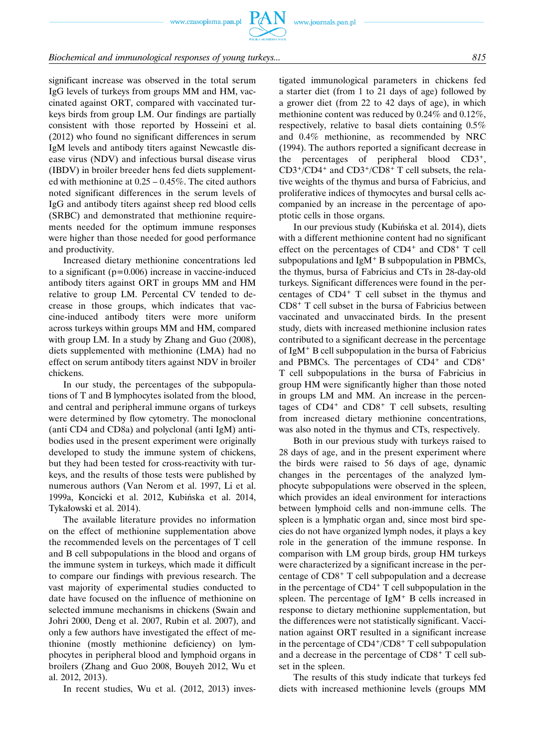www.czasopisma.pan.pl



## *Biochemical and immunological responses of young turkeys... 815*

significant increase was observed in the total serum IgG levels of turkeys from groups MM and HM, vaccinated against ORT, compared with vaccinated turkeys birds from group LM. Our findings are partially consistent with those reported by Hosseini et al. (2012) who found no significant differences in serum IgM levels and antibody titers against Newcastle disease virus (NDV) and infectious bursal disease virus (IBDV) in broiler breeder hens fed diets supplemented with methionine at 0.25 – 0.45%. The cited authors noted significant differences in the serum levels of IgG and antibody titers against sheep red blood cells (SRBC) and demonstrated that methionine requirements needed for the optimum immune responses were higher than those needed for good performance and productivity.

Increased dietary methionine concentrations led to a significant  $(p=0.006)$  increase in vaccine-induced antibody titers against ORT in groups MM and HM relative to group LM. Percental CV tended to decrease in those groups, which indicates that vaccine-induced antibody titers were more uniform across turkeys within groups MM and HM, compared with group LM. In a study by Zhang and Guo (2008), diets supplemented with methionine (LMA) had no effect on serum antibody titers against NDV in broiler chickens.

In our study, the percentages of the subpopulations of T and B lymphocytes isolated from the blood, and central and peripheral immune organs of turkeys were determined by flow cytometry. The monoclonal (anti CD4 and CD8a) and polyclonal (anti IgM) antibodies used in the present experiment were originally developed to study the immune system of chickens, but they had been tested for cross-reactivity with turkeys, and the results of those tests were published by numerous authors (Van Nerom et al. 1997, Li et al. 1999a, Koncicki et al. 2012, Kubińska et al. 2014, Tykałowski et al. 2014).

The available literature provides no information on the effect of methionine supplementation above the recommended levels on the percentages of T cell and B cell subpopulations in the blood and organs of the immune system in turkeys, which made it difficult to compare our findings with previous research. The vast majority of experimental studies conducted to date have focused on the influence of methionine on selected immune mechanisms in chickens (Swain and Johri 2000, Deng et al. 2007, Rubin et al. 2007), and only a few authors have investigated the effect of methionine (mostly methionine deficiency) on lymphocytes in peripheral blood and lymphoid organs in broilers (Zhang and Guo 2008, Bouyeh 2012, Wu et al. 2012, 2013).

In recent studies, Wu et al. (2012, 2013) inves-

tigated immunological parameters in chickens fed a starter diet (from 1 to 21 days of age) followed by a grower diet (from 22 to 42 days of age), in which methionine content was reduced by 0.24% and 0.12%, respectively, relative to basal diets containing 0.5% and 0.4% methionine, as recommended by NRC (1994). The authors reported a significant decrease in the percentages of peripheral blood CD3+, CD3+/CD4+ and CD3+/CD8+ T cell subsets, the relative weights of the thymus and bursa of Fabricius, and proliferative indices of thymocytes and bursal cells accompanied by an increase in the percentage of apoptotic cells in those organs.

In our previous study (Kubińska et al. 2014), diets with a different methionine content had no significant effect on the percentages of  $CD4^+$  and  $CD8^+$  T cell subpopulations and  $IgM<sup>+</sup>B$  subpopulation in PBMCs, the thymus, bursa of Fabricius and CTs in 28-day-old turkeys. Significant differences were found in the percentages of CD4<sup>+</sup> T cell subset in the thymus and CD8+ T cell subset in the bursa of Fabricius between vaccinated and unvaccinated birds. In the present study, diets with increased methionine inclusion rates contributed to a significant decrease in the percentage of IgM<sup>+</sup> B cell subpopulation in the bursa of Fabricius and PBMCs. The percentages of  $CD4^+$  and  $CD8^+$ T cell subpopulations in the bursa of Fabricius in group HM were significantly higher than those noted in groups LM and MM. An increase in the percentages of  $CD4^+$  and  $CD8^+$  T cell subsets, resulting from increased dietary methionine concentrations, was also noted in the thymus and CTs, respectively.

Both in our previous study with turkeys raised to 28 days of age, and in the present experiment where the birds were raised to 56 days of age, dynamic changes in the percentages of the analyzed lymphocyte subpopulations were observed in the spleen, which provides an ideal environment for interactions between lymphoid cells and non-immune cells. The spleen is a lymphatic organ and, since most bird species do not have organized lymph nodes, it plays a key role in the generation of the immune response. In comparison with LM group birds, group HM turkeys were characterized by a significant increase in the percentage of CD8<sup>+</sup> T cell subpopulation and a decrease in the percentage of  $CD4+T$  cell subpopulation in the spleen. The percentage of IgM<sup>+</sup> B cells increased in response to dietary methionine supplementation, but the differences were not statistically significant. Vaccination against ORT resulted in a significant increase in the percentage of CD4+/CD8+ T cell subpopulation and a decrease in the percentage of CD8<sup>+</sup> T cell subset in the spleen.

The results of this study indicate that turkeys fed diets with increased methionine levels (groups MM